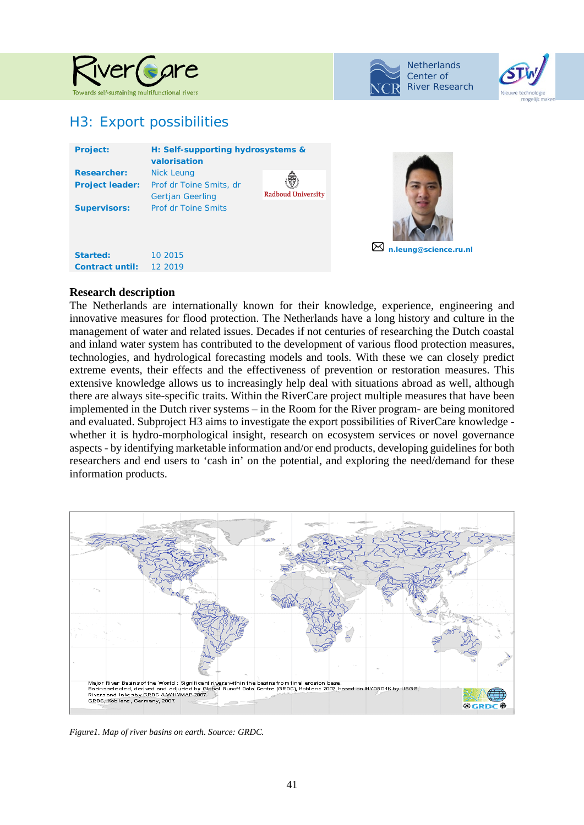





## H3: Export possibilities

| Project:                                     | H: Self-supporting hydrosystems &<br>valorisation                |                           |                       |
|----------------------------------------------|------------------------------------------------------------------|---------------------------|-----------------------|
| <b>Researcher:</b><br><b>Project leader:</b> | Nick Leung<br>Prof dr Toine Smits, dr<br><b>Gertjan Geerling</b> | <b>Radboud University</b> |                       |
| <b>Supervisors:</b>                          | <b>Prof dr Toine Smits</b>                                       |                           |                       |
| Started:<br><b>Contract until:</b>           | 10 2015<br>12 2019                                               |                           | n.leung@science.ru.nl |

## **Research description**

The Netherlands are internationally known for their knowledge, experience, engineering and innovative measures for flood protection. The Netherlands have a long history and culture in the management of water and related issues. Decades if not centuries of researching the Dutch coastal and inland water system has contributed to the development of various flood protection measures, technologies, and hydrological forecasting models and tools. With these we can closely predict extreme events, their effects and the effectiveness of prevention or restoration measures. This extensive knowledge allows us to increasingly help deal with situations abroad as well, although there are always site-specific traits. Within the RiverCare project multiple measures that have been implemented in the Dutch river systems – in the Room for the River program- are being monitored and evaluated. Subproject H3 aims to investigate the export possibilities of RiverCare knowledge whether it is hydro-morphological insight, research on ecosystem services or novel governance aspects - by identifying marketable information and/or end products, developing guidelines for both researchers and end users to 'cash in' on the potential, and exploring the need/demand for these information products.



*Figure1. Map of river basins on earth. Source: GRDC.*